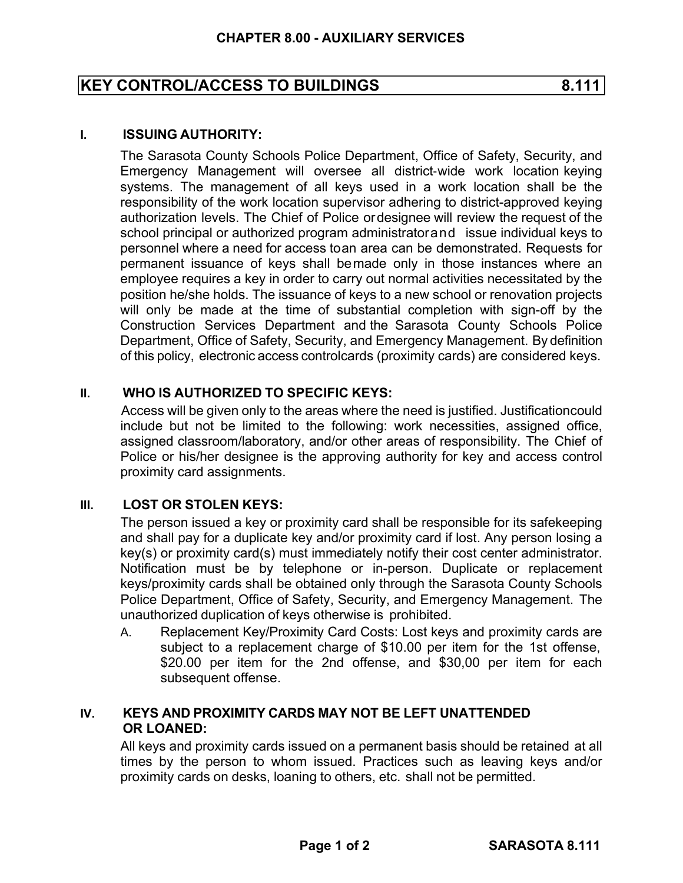# **KEY CONTROL/ACCESS TO BUILDINGS 8.111**

## **I. ISSUING AUTHORITY:**

The Sarasota County Schools Police Department, Office of Safety, Security, and Emergency Management will oversee all district-wide work location keying systems. The management of all keys used in a work location shall be the responsibility of the work location supervisor adhering to district-approved keying authorization levels. The Chief of Police or designee will review the request of the school principal or authorized program administrator and issue individual keys to personnel where a need for access to an area can be demonstrated. Requests for permanent issuance of keys shall be made only in those instances where an employee requires a key in order to carry out normal activities necessitated by the position he/she holds. The issuance of keys to a new school or renovation projects will only be made at the time of substantial completion with sign-off by the Construction Services Department and the Sarasota County Schools Police Department, Office of Safety, Security, and Emergency Management. By definition of this policy, electronic access controlcards (proximity cards) are considered keys.

# **II. WHO IS AUTHORIZED TO SPECIFIC KEYS:**

Access will be given only to the areas where the need is justified. Justification could include but not be limited to the following: work necessities, assigned office, assigned classroom/laboratory, and/or other areas of responsibility. The Chief of Police or his/her designee is the approving authority for key and access control proximity card assignments.

### **III. LOST OR STOLEN KEYS:**

The person issued a key or proximity card shall be responsible for its safekeeping and shall pay for a duplicate key and/or proximity card if lost. Any person losing a key(s) or proximity card(s) must immediately notify their cost center administrator. Notification must be by telephone or in-person. Duplicate or replacement keys/proximity cards shall be obtained only through the Sarasota County Schools Police Department, Office of Safety, Security, and Emergency Management. The unauthorized duplication of keys otherwise is prohibited.

A. Replacement Key/Proximity Card Costs: Lost keys and proximity cards are subject to a replacement charge of \$10.00 per item for the 1st offense, \$20.00 per item for the 2nd offense, and \$30,00 per item for each subsequent offense.

# **IV. KEYS AND PROXIMITY CARDS MAY NOT BE LEFT UNATTENDED OR LOANED:**

All keys and proximity cards issued on a permanent basis should be retained at all times by the person to whom issued. Practices such as leaving keys and/or proximity cards on desks, loaning to others, etc. shall not be permitted.